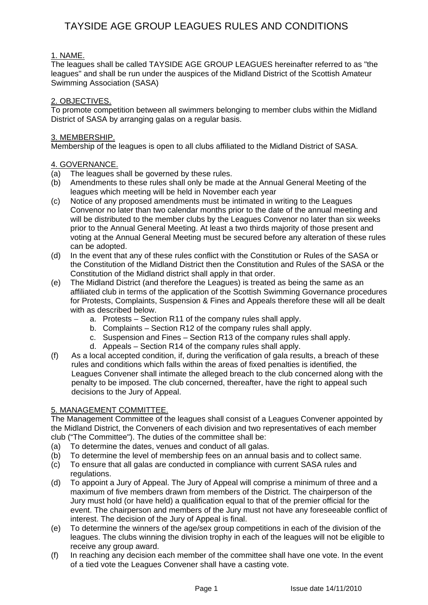## 1. NAME.

The leagues shall be called TAYSIDE AGE GROUP LEAGUES hereinafter referred to as "the leagues" and shall be run under the auspices of the Midland District of the Scottish Amateur Swimming Association (SASA)

### <u>2. OBJECTIVES.</u>

To promote competition between all swimmers belonging to member clubs within the Midland District of SASA by arranging galas on a regular basis.

### 3. MEMBERSHIP.

Membership of the leagues is open to all clubs affiliated to the Midland District of SASA.

### 4. GOVERNANCE.

- (a) The leagues shall be governed by these rules.
- (b) Amendments to these rules shall only be made at the Annual General Meeting of the leagues which meeting will be held in November each year
- (c) Notice of any proposed amendments must be intimated in writing to the Leagues Convenor no later than two calendar months prior to the date of the annual meeting and will be distributed to the member clubs by the Leagues Convenor no later than six weeks prior to the Annual General Meeting. At least a two thirds majority of those present and voting at the Annual General Meeting must be secured before any alteration of these rules can be adopted.
- (d) In the event that any of these rules conflict with the Constitution or Rules of the SASA or the Constitution of the Midland District then the Constitution and Rules of the SASA or the Constitution of the Midland district shall apply in that order.
- (e) The Midland District (and therefore the Leagues) is treated as being the same as an affiliated club in terms of the application of the Scottish Swimming Governance procedures for Protests, Complaints, Suspension & Fines and Appeals therefore these will all be dealt with as described below.
	- a. Protests Section R11 of the company rules shall apply.
	- b. Complaints Section R12 of the company rules shall apply.
	- c. Suspension and Fines Section R13 of the company rules shall apply.
	- d. Appeals Section R14 of the company rules shall apply.
- (f) As a local accepted condition, if, during the verification of gala results, a breach of these rules and conditions which falls within the areas of fixed penalties is identified, the Leagues Convener shall intimate the alleged breach to the club concerned along with the penalty to be imposed. The club concerned, thereafter, have the right to appeal such decisions to the Jury of Appeal.

## 5. MANAGEMENT COMMITTEE.

The Management Committee of the leagues shall consist of a Leagues Convener appointed by the Midland District, the Conveners of each division and two representatives of each member club ("The Committee"). The duties of the committee shall be:

- (a) To determine the dates, venues and conduct of all galas.
- (b) To determine the level of membership fees on an annual basis and to collect same.
- (c) To ensure that all galas are conducted in compliance with current SASA rules and regulations.
- (d) To appoint a Jury of Appeal. The Jury of Appeal will comprise a minimum of three and a maximum of five members drawn from members of the District. The chairperson of the Jury must hold (or have held) a qualification equal to that of the premier official for the event. The chairperson and members of the Jury must not have any foreseeable conflict of interest. The decision of the Jury of Appeal is final.
- (e) To determine the winners of the age/sex group competitions in each of the division of the leagues. The clubs winning the division trophy in each of the leagues will not be eligible to receive any group award.
- (f) In reaching any decision each member of the committee shall have one vote. In the event of a tied vote the Leagues Convener shall have a casting vote.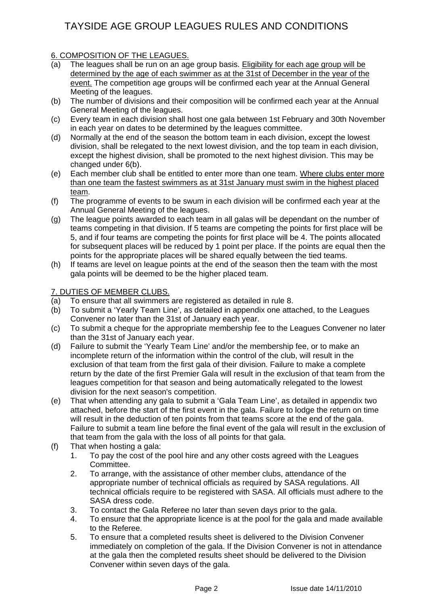## 6. COMPOSITION OF THE LEAGUES.

- (a) The leagues shall be run on an age group basis. Eligibility for each age group will be determined by the age of each swimmer as at the 31st of December in the year of the event. The competition age groups will be confirmed each year at the Annual General Meeting of the leagues.
- (b) The number of divisions and their composition will be confirmed each year at the Annual General Meeting of the leagues.
- (c) Every team in each division shall host one gala between 1st February and 30th November in each year on dates to be determined by the leagues committee.
- (d) Normally at the end of the season the bottom team in each division, except the lowest division, shall be relegated to the next lowest division, and the top team in each division, except the highest division, shall be promoted to the next highest division. This may be changed under 6(b).
- (e) Each member club shall be entitled to enter more than one team. Where clubs enter more than one team the fastest swimmers as at 31st January must swim in the highest placed team.
- (f) The programme of events to be swum in each division will be confirmed each year at the Annual General Meeting of the leagues.
- (g) The league points awarded to each team in all galas will be dependant on the number of teams competing in that division. If 5 teams are competing the points for first place will be 5, and if four teams are competing the points for first place will be 4. The points allocated for subsequent places will be reduced by 1 point per place. If the points are equal then the points for the appropriate places will be shared equally between the tied teams.
- (h) If teams are level on league points at the end of the season then the team with the most gala points will be deemed to be the higher placed team.

## 7. DUTIES OF MEMBER CLUBS.

- (a) To ensure that all swimmers are registered as detailed in rule 8.
- (b) To submit a 'Yearly Team Line', as detailed in appendix one attached, to the Leagues Convener no later than the 31st of January each year.
- (c) To submit a cheque for the appropriate membership fee to the Leagues Convener no later than the 31st of January each year.
- (d) Failure to submit the 'Yearly Team Line' and/or the membership fee, or to make an incomplete return of the information within the control of the club, will result in the exclusion of that team from the first gala of their division. Failure to make a complete return by the date of the first Premier Gala will result in the exclusion of that team from the leagues competition for that season and being automatically relegated to the lowest division for the next season's competition.
- (e) That when attending any gala to submit a 'Gala Team Line', as detailed in appendix two attached, before the start of the first event in the gala. Failure to lodge the return on time will result in the deduction of ten points from that teams score at the end of the gala. Failure to submit a team line before the final event of the gala will result in the exclusion of that team from the gala with the loss of all points for that gala.
- (f) That when hosting a gala:
	- 1. To pay the cost of the pool hire and any other costs agreed with the Leagues Committee.
	- 2. To arrange, with the assistance of other member clubs, attendance of the appropriate number of technical officials as required by SASA regulations. All technical officials require to be registered with SASA. All officials must adhere to the SASA dress code.
	- 3. To contact the Gala Referee no later than seven days prior to the gala.
	- 4. To ensure that the appropriate licence is at the pool for the gala and made available to the Referee.
	- 5. To ensure that a completed results sheet is delivered to the Division Convener immediately on completion of the gala. If the Division Convener is not in attendance at the gala then the completed results sheet should be delivered to the Division Convener within seven days of the gala.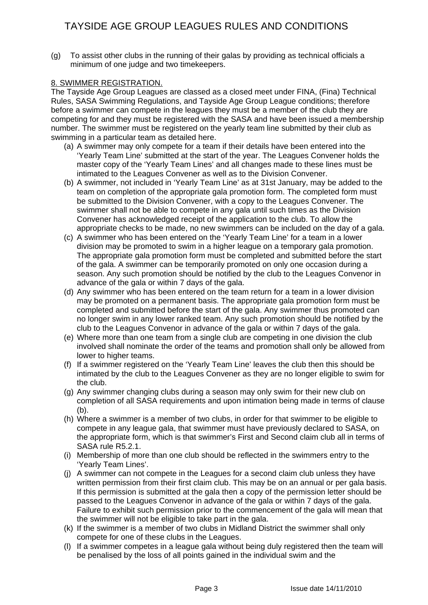(g) To assist other clubs in the running of their galas by providing as technical officials a minimum of one judge and two timekeepers.

## 8. SWIMMER REGISTRATION.

The Tayside Age Group Leagues are classed as a closed meet under FINA, (Fina) Technical Rules, SASA Swimming Regulations, and Tayside Age Group League conditions; therefore before a swimmer can compete in the leagues they must be a member of the club they are competing for and they must be registered with the SASA and have been issued a membership number. The swimmer must be registered on the yearly team line submitted by their club as swimming in a particular team as detailed here.

- (a) A swimmer may only compete for a team if their details have been entered into the 'Yearly Team Line' submitted at the start of the year. The Leagues Convener holds the master copy of the 'Yearly Team Lines' and all changes made to these lines must be intimated to the Leagues Convener as well as to the Division Convener.
- (b) A swimmer, not included in 'Yearly Team Line' as at 31st January, may be added to the team on completion of the appropriate gala promotion form. The completed form must be submitted to the Division Convener, with a copy to the Leagues Convener. The swimmer shall not be able to compete in any gala until such times as the Division Convener has acknowledged receipt of the application to the club. To allow the appropriate checks to be made, no new swimmers can be included on the day of a gala.
- (c) A swimmer who has been entered on the 'Yearly Team Line' for a team in a lower division may be promoted to swim in a higher league on a temporary gala promotion. The appropriate gala promotion form must be completed and submitted before the start of the gala. A swimmer can be temporarily promoted on only one occasion during a season. Any such promotion should be notified by the club to the Leagues Convenor in advance of the gala or within 7 days of the gala.
- (d) Any swimmer who has been entered on the team return for a team in a lower division may be promoted on a permanent basis. The appropriate gala promotion form must be completed and submitted before the start of the gala. Any swimmer thus promoted can no longer swim in any lower ranked team. Any such promotion should be notified by the club to the Leagues Convenor in advance of the gala or within 7 days of the gala.
- (e) Where more than one team from a single club are competing in one division the club involved shall nominate the order of the teams and promotion shall only be allowed from lower to higher teams.
- (f) If a swimmer registered on the 'Yearly Team Line' leaves the club then this should be intimated by the club to the Leagues Convener as they are no longer eligible to swim for the club.
- (g) Any swimmer changing clubs during a season may only swim for their new club on completion of all SASA requirements and upon intimation being made in terms of clause (b).
- (h) Where a swimmer is a member of two clubs, in order for that swimmer to be eligible to compete in any league gala, that swimmer must have previously declared to SASA, on the appropriate form, which is that swimmer's First and Second claim club all in terms of SASA rule R5.2.1.
- (i) Membership of more than one club should be reflected in the swimmers entry to the 'Yearly Team Lines'.
- (j) A swimmer can not compete in the Leagues for a second claim club unless they have written permission from their first claim club. This may be on an annual or per gala basis. If this permission is submitted at the gala then a copy of the permission letter should be passed to the Leagues Convenor in advance of the gala or within 7 days of the gala. Failure to exhibit such permission prior to the commencement of the gala will mean that the swimmer will not be eligible to take part in the gala.
- (k) If the swimmer is a member of two clubs in Midland District the swimmer shall only compete for one of these clubs in the Leagues.
- (l) If a swimmer competes in a league gala without being duly registered then the team will be penalised by the loss of all points gained in the individual swim and the